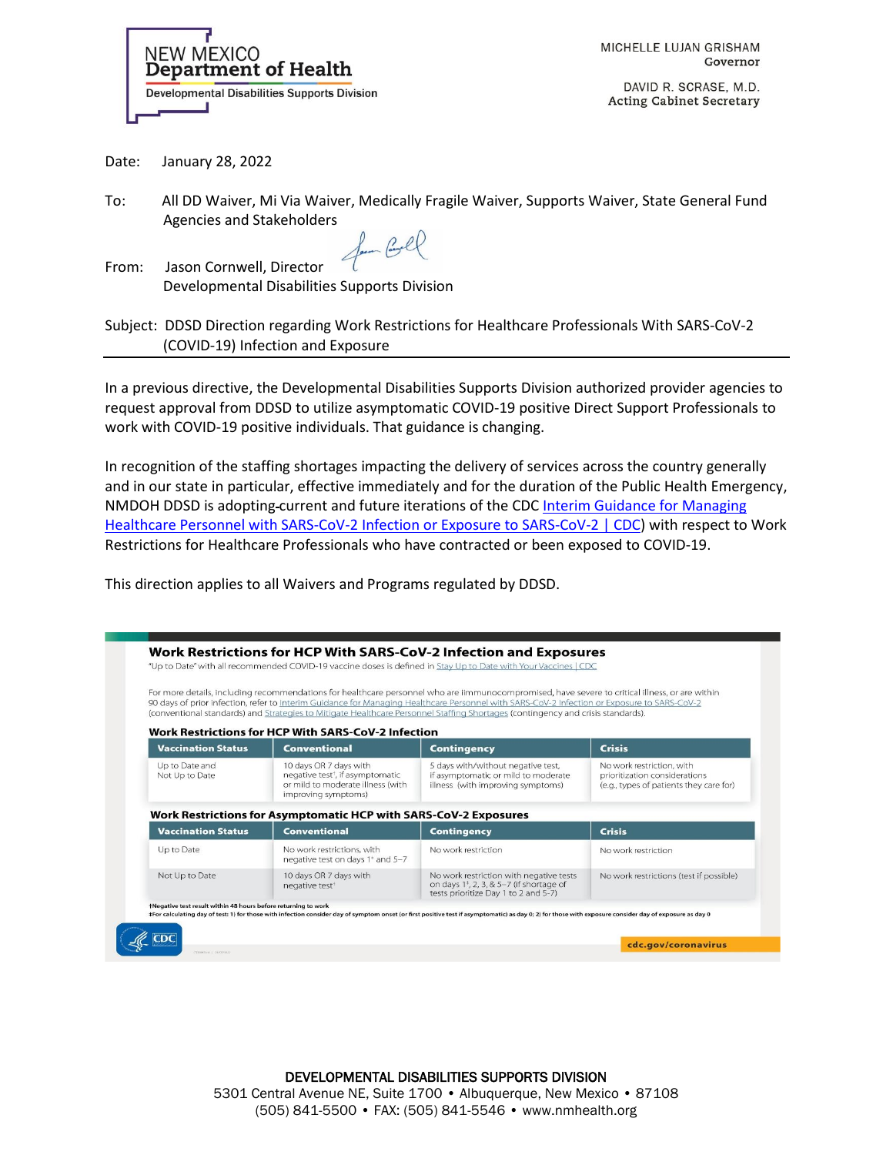

MICHELLE LUJAN GRISHAM Governor

DAVID R. SCRASE, M.D. **Acting Cabinet Secretary** 

Date: January 28, 2022

To: All DD Waiver, Mi Via Waiver, Medically Fragile Waiver, Supports Waiver, State General Fund Agencies and Stakeholders

form Corel

From: Jason Cornwell, Director Developmental Disabilities Supports Division

| Subject: DDSD Direction regarding Work Restrictions for Healthcare Professionals With SARS-CoV-2 |
|--------------------------------------------------------------------------------------------------|
| (COVID-19) Infection and Exposure                                                                |

In a previous directive, the Developmental Disabilities Supports Division authorized provider agencies to request approval from DDSD to utilize asymptomatic COVID-19 positive Direct Support Professionals to work with COVID-19 positive individuals. That guidance is changing.

In recognition of the staffing shortages impacting the delivery of services across the country generally and in our state in particular, effective immediately and for the duration of the Public Health Emergency, NMDOH DDSD is adopting-current and future iterations of the CDC Interim Guidance for Managing [Healthcare Personnel with SARS-CoV-2 Infection or Exposure to SARS-CoV-2 | CDC\)](https://www.cdc.gov/coronavirus/2019-ncov/hcp/guidance-risk-assesment-hcp.html) with respect to Work Restrictions for Healthcare Professionals who have contracted or been exposed to COVID-19.

This direction applies to all Waivers and Programs regulated by DDSD.

|                                  |                                                                                                                                    | For more details, including recommendations for healthcare personnel who are iimmunocompromised, have severe to critical illness, or are within<br>90 days of prior infection, refer to Interim Guidance for Managing Healthcare Personnel with SARS-CoV-2 Infection or Exposure to SARS-CoV-2<br>(conventional standards) and Strategies to Mitigate Healthcare Personnel Staffing Shortages (contingency and crisis standards). |                                                                                                       |
|----------------------------------|------------------------------------------------------------------------------------------------------------------------------------|-----------------------------------------------------------------------------------------------------------------------------------------------------------------------------------------------------------------------------------------------------------------------------------------------------------------------------------------------------------------------------------------------------------------------------------|-------------------------------------------------------------------------------------------------------|
| <b>Vaccination Status</b>        | <b>Work Restrictions for HCP With SARS-CoV-2 Infection</b><br><b>Conventional</b>                                                  | <b>Contingency</b>                                                                                                                                                                                                                                                                                                                                                                                                                | <b>Crisis</b>                                                                                         |
| Up to Date and<br>Not Up to Date | 10 days OR 7 days with<br>negative test <sup>+</sup> , if asymptomatic<br>or mild to moderate illness (with<br>improving symptoms) | 5 days with/without negative test,<br>if asymptomatic or mild to moderate<br>illness (with improving symptoms)                                                                                                                                                                                                                                                                                                                    | No work restriction, with<br>prioritization considerations<br>(e.g., types of patients they care for) |
|                                  | Work Restrictions for Asymptomatic HCP with SARS-CoV-2 Exposures                                                                   |                                                                                                                                                                                                                                                                                                                                                                                                                                   |                                                                                                       |
| <b>Vaccination Status</b>        | <b>Conventional</b>                                                                                                                | <b>Contingency</b>                                                                                                                                                                                                                                                                                                                                                                                                                | <b>Crisis</b>                                                                                         |
| Up to Date                       | No work restrictions, with<br>negative test on days 1 <sup>÷</sup> and 5-7                                                         | No work restriction                                                                                                                                                                                                                                                                                                                                                                                                               | No work restriction                                                                                   |
| Not Up to Date                   | 10 days OR 7 days with<br>negative test <sup>+</sup>                                                                               | No work restriction with negative tests<br>on days $1^{\frac{1}{2}}$ , 2, 3, & 5-7 (if shortage of<br>tests prioritize Day 1 to 2 and 5-7)                                                                                                                                                                                                                                                                                        | No work restrictions (test if possible)                                                               |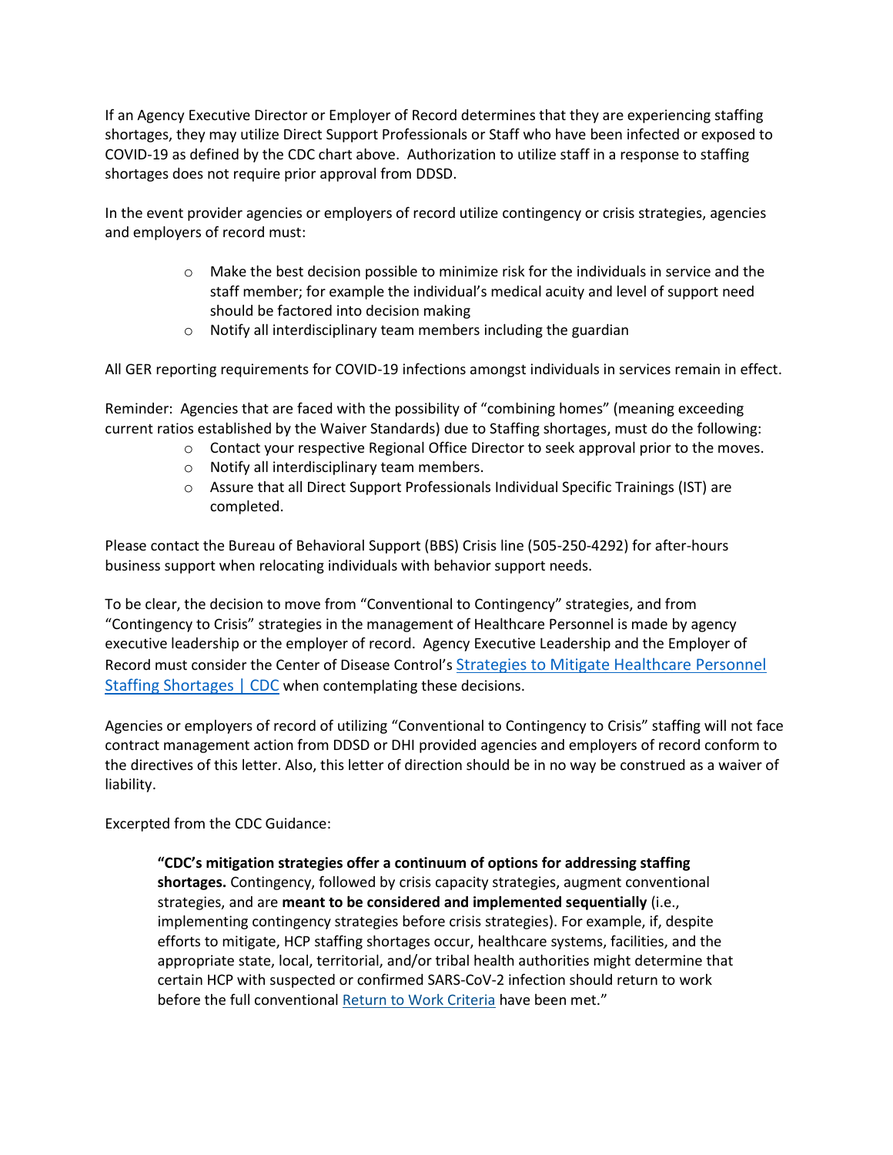If an Agency Executive Director or Employer of Record determines that they are experiencing staffing shortages, they may utilize Direct Support Professionals or Staff who have been infected or exposed to COVID-19 as defined by the CDC chart above. Authorization to utilize staff in a response to staffing shortages does not require prior approval from DDSD.

In the event provider agencies or employers of record utilize contingency or crisis strategies, agencies and employers of record must:

- o Make the best decision possible to minimize risk for the individuals in service and the staff member; for example the individual's medical acuity and level of support need should be factored into decision making
- $\circ$  Notify all interdisciplinary team members including the guardian

All GER reporting requirements for COVID-19 infections amongst individuals in services remain in effect.

Reminder: Agencies that are faced with the possibility of "combining homes" (meaning exceeding current ratios established by the Waiver Standards) due to Staffing shortages, must do the following:

- o Contact your respective Regional Office Director to seek approval prior to the moves.
- o Notify all interdisciplinary team members.
- o Assure that all Direct Support Professionals Individual Specific Trainings (IST) are completed.

Please contact the Bureau of Behavioral Support (BBS) Crisis line (505-250-4292) for after-hours business support when relocating individuals with behavior support needs.

To be clear, the decision to move from "Conventional to Contingency" strategies, and from "Contingency to Crisis" strategies in the management of Healthcare Personnel is made by agency executive leadership or the employer of record. Agency Executive Leadership and the Employer of Record must consider the Center of Disease Control's [Strategies to Mitigate Healthcare Personnel](https://www.cdc.gov/coronavirus/2019-ncov/hcp/mitigating-staff-shortages.html)  [Staffing Shortages | CDC](https://www.cdc.gov/coronavirus/2019-ncov/hcp/mitigating-staff-shortages.html) when contemplating these decisions.

Agencies or employers of record of utilizing "Conventional to Contingency to Crisis" staffing will not face contract management action from DDSD or DHI provided agencies and employers of record conform to the directives of this letter. Also, this letter of direction should be in no way be construed as a waiver of liability.

Excerpted from the CDC Guidance:

**"CDC's mitigation strategies offer a continuum of options for addressing staffing shortages.** Contingency, followed by crisis capacity strategies, augment conventional strategies, and are **meant to be considered and implemented sequentially** (i.e., implementing contingency strategies before crisis strategies). For example, if, despite efforts to mitigate, HCP staffing shortages occur, healthcare systems, facilities, and the appropriate state, local, territorial, and/or tribal health authorities might determine that certain HCP with suspected or confirmed SARS-CoV-2 infection should return to work before the full conventional [Return to Work Criteria](https://www.cdc.gov/coronavirus/2019-ncov/hcp/guidance-risk-assesment-hcp.html) have been met."